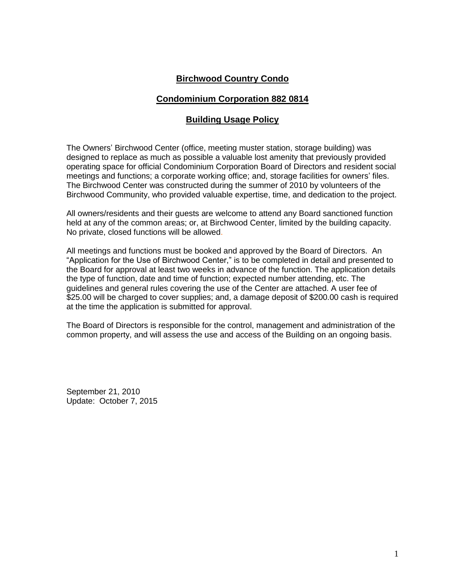# **Birchwood Country Condo**

### **Condominium Corporation 882 0814**

#### **Building Usage Policy**

The Owners' Birchwood Center (office, meeting muster station, storage building) was designed to replace as much as possible a valuable lost amenity that previously provided operating space for official Condominium Corporation Board of Directors and resident social meetings and functions; a corporate working office; and, storage facilities for owners' files. The Birchwood Center was constructed during the summer of 2010 by volunteers of the Birchwood Community, who provided valuable expertise, time, and dedication to the project.

All owners/residents and their guests are welcome to attend any Board sanctioned function held at any of the common areas; or, at Birchwood Center, limited by the building capacity. No private, closed functions will be allowed.

All meetings and functions must be booked and approved by the Board of Directors. An "Application for the Use of Birchwood Center," is to be completed in detail and presented to the Board for approval at least two weeks in advance of the function. The application details the type of function, date and time of function; expected number attending, etc. The guidelines and general rules covering the use of the Center are attached. A user fee of \$25.00 will be charged to cover supplies; and, a damage deposit of \$200.00 cash is required at the time the application is submitted for approval.

The Board of Directors is responsible for the control, management and administration of the common property, and will assess the use and access of the Building on an ongoing basis.

September 21, 2010 Update: October 7, 2015